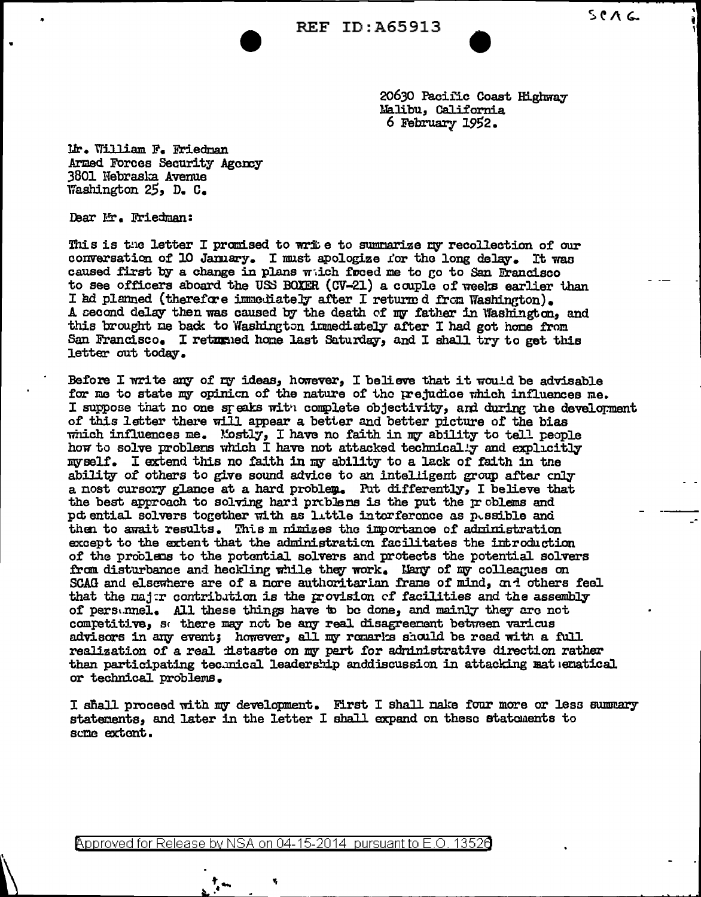

20630 Pacific Coast Highway Malibu, California 6 February  $1952.$ 

Mr. William F. Friedman Armed Forces Security Agency 3801 Nebraska Avenue Washington  $25$ , D. C.

Dear Mr. Friedman:

This is the letter I promised to wrie to summarize my recollection of our conversation of 10 January. I must apologize for the long delay. It was caused first by a change in plans witch freed me to go to San Francisco to see officers aboard the USS BOXER (CV-21) a couple of weeks earlier than I ad planned (therefore immediately after I returned from Washington). A second delay then was caused by the death of my father in Washington, and this brought me back to Washington immediately after I had got home from San Francisco. I returned home last Saturday, and I shall try to get this letter out today.

Before I write any of my ideas, however, I believe that it would be advisable for me to state my opinion of the nature of the prejudice which influences me. I suppose that no one speaks with complete objectivity, and during the develorment of this letter there will appear a better and better picture of the bias which influences me. Mostly, I have no faith in my ability to tell people how to solve problems which I have not attacked technically and explicitly myself. I extend this no faith in my ability to a lack of faith in the ability of others to give sound advice to an intelligent group after cnly a nost cursory glance at a hard problem. Put differently, I believe that the best approach to solving hard problems is the put the problems and pd ential solvers together with as little intorference as pissible and then to await results. This m nimizes the importance of administration except to the extent that the administration facilitates the introduction of the problems to the potential solvers and protects the potential solvers from disturbance and heckling while they work. Many of my colleagues on SCAG and elsewhere are of a nore authoritarian frame of mind, and others feel that the major contribution is the provision of facilities and the assembly of persumel. All these things have to be done, and mainly they are not competitive, so there may not be any real disagreement between various advisors in any event; however, all my romarks should be read with a full realization of a real distaste on my part for administrative direction rather than participating technical leadership anddiscussion in attacking mat ematical or technical problems.

I shall proceed with my development. First I shall nake four more or less summary statements, and later in the letter I shall expand on these statements to some extent.

Approved for Release by NSA on 04-15-2014 pursuant to E.O. 13520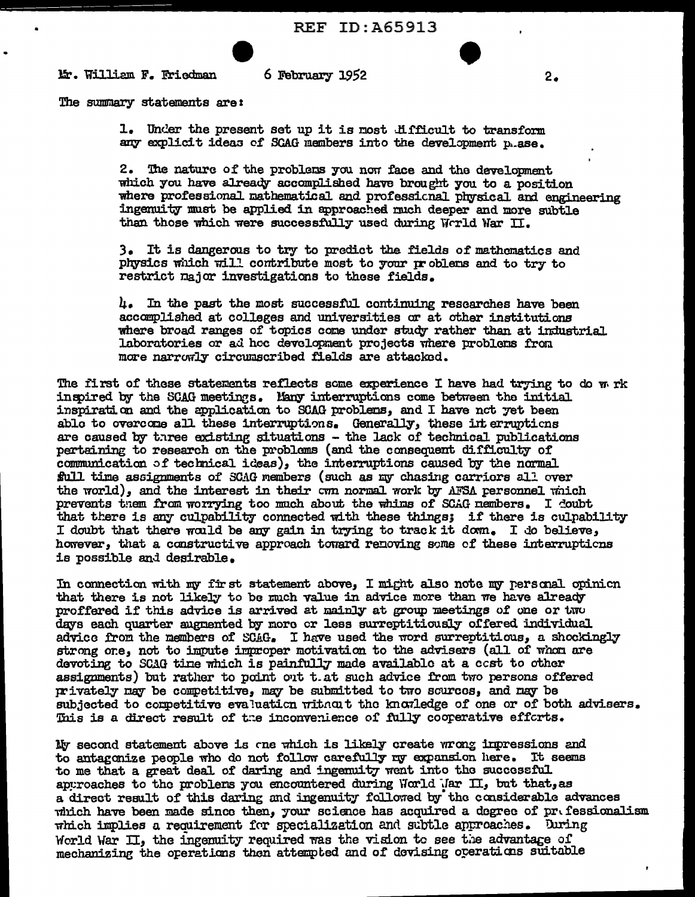

6 February 1952

The summary statements are:

1. Under the present set up it is most difficult to transform any explicit ideas of SCAG members into the development p.ase.

2. The nature of the problems you now face and the development which you have already accomplished have brought you to a position where professional mathematical and professional physical and engineering ingenuity must be applied in approached much deeper and more subtle than those which were successfully used during World War II.

3. It is dangerous to try to predict the fields of mathematics and physics which will contribute most to your problems and to try to restrict major investigations to these fields.

 $l_+$ . In the past the most successful continuing researches have been accomplished at colleges and universities or at other institutions where broad ranges of topics come under study rather than at industrial laboratories or ad hoc development projects where problems from more narrowly circumscribed fields are attacked.

The first of these statements reflects some experience I have had trying to do w rk inspired by the SCAG meetings. Many interruptions come between the initial inspiration and the application to SCAG problems, and I have not yet been able to overcome all these interruptions. Generally, these interruptions are caused by three existing situations - the lack of technical publications pertaining to research on the problems (and the consequent difficulty of communication of technical ideas), the interruptions caused by the normal full time assignments of SCAG members (such as my chasing carriors all over the world), and the interest in their cwn normal work by AFSA personnel which prevents them from worrying too much about the whims of SCAG nembers. I coubt that there is any culpability connected with these things; if there is culpability I doubt that there would be any gain in trying to track it down. I do believe, however, that a constructive approach toward renoving some of these interruptions is possible and desirable.

In connection with my first statement above, I might also note my personal opinion that there is not likely to be much value in advice more than we have already proffered if this advice is arrived at mainly at group meetings of one or two days each quarter augmented by more or less surreptitiously offered individual advice from the members of SCAG. I have used the word surreptitious, a shockingly strong one, not to impute improper motivation to the advisers (all of whom are devoting to SCAG time which is painfully made available at a cost to other assignments) but rather to point out t.at such advice from two persons offered privately may be competitive, may be submitted to two scurees, and may be subjected to competitive evaluation without the knowledge of one or of both advisers. This is a direct result of the inconvenience of fully cooperative efforts.

My second statement above is one which is likely create wrong impressions and to antagonize people who do not follow carefully my expansion here. It seems to me that a great deal of daring and ingemuity went into the successful approaches to the problems you encountered during World Mar II, but that, as a direct result of this daring and ingenuity followed by the considerable advances which have been made since then, your science has acquired a degree of prefessionalism which implies a requirement for specialization and subtle approaches. During World War II, the incenuity required was the vision to see the advantage of mechanizing the operations then attempted and of devising operations suitable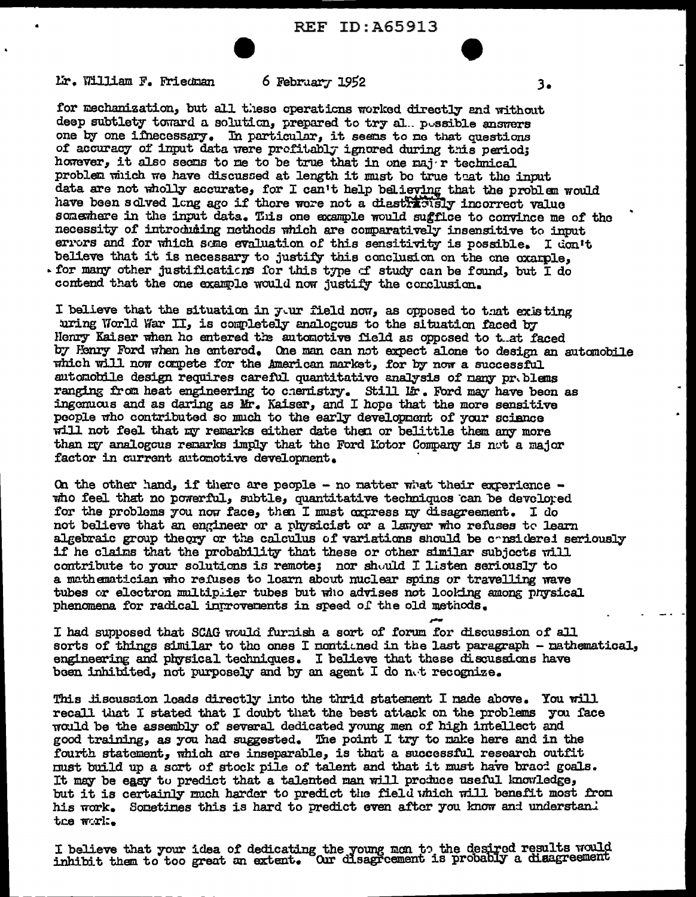Mr. William F. Friedman

## 6 February 1952

3.

for mechanization, but all these operations worked directly and without deep subtlety toward a solution. prepared to try al. possible answers one by one ifnecessary. In particular, it seems to me that questions of accuracy of input data were profitably ignored during this period; however, it also seems to me to be true that in one major technical problem which we have discussed at length it must be true that the input data are not wholly accurate, for I can't help believing that the problem would have been solved long ago if there were not a diastricity incorrect value somewhere in the input data. This one example would sufflice to convince me of the necessity of introducing nethods which are comparatively insensitive to input errors and for which some evaluation of this sensitivity is possible. I don't believe that it is necessary to justify this conclusion on the one oxample. for many other justifications for this type of study can be found, but I do contend that the one example would now justify the conclusion.

I believe that the situation in yur field now, as opposed to that existing uring World War II, is completely analogous to the situation faced by Henry Kaiser when he entered the automotive field as opposed to that faced by Henry Ford when he entered. One man can not expect alone to design an automobile which will now compete for the American market, for by now a successful autonobile design requires careful quantitative analysis of nany pr. blems ranging from heat engineering to chemistry. Still lir. Ford may have been as ingomuous and as daring as Mr. Kaiser, and I hope that the more sensitive people who contributed so much to the early development of your science will not feel that my remarks either date then or belittle them any more than my analogous remarks imply that the Ford Lotor Company is not a major factor in current automotive development.

On the other hand, if there are people - no matter what their experience who feel that no powerful, subtle, quantitative techniques can be develored for the problems you now face, then I must express my disagreement. I do not believe that an engineer or a physicist or a lanyer who refuses to learn algebraic group theory or the calculus of variations should be considered seriously if he claims that the probability that these or other similar subjects will contribute to your solutions is remote; nor should I listen seriously to a mathematician who refuses to loarn about nuclear spins or travelling wave tubes or electron multiplier tubes but who advises not looking among physical phenomena for radical introverents in speed of the old methods.

I had supposed that SCAG would furnish a sort of forum for discussion of all sorts of things similar to the ones I nontiuned in the last paragraph - mathematical, engineering and physical techniques. I believe that these discussions have been inhibited, not purposely and by an agent I do not recognize.

This liscussion loads directly into the thrid statement I nade above. You will recall that I stated that I doubt that the best attack on the problems you face would be the assembly of several dedicated young men of high intellect and good training, as you had suggested. The point I try to make here and in the fourth statement, which are inseparable, is that a successful research outfit must build up a sort of stock pile of talent and that it must have braod goals. It may be easy to predict that a talented man will produce useful knowledge, but it is certainly much harder to predict the field which will benefit most from his work. Sometimes this is hard to predict even after you know and understan. the work.

I believe that your idea of dedicating the young mon to the desired results would inhibit them to too great an extent. Our disagreement is probably a disagreement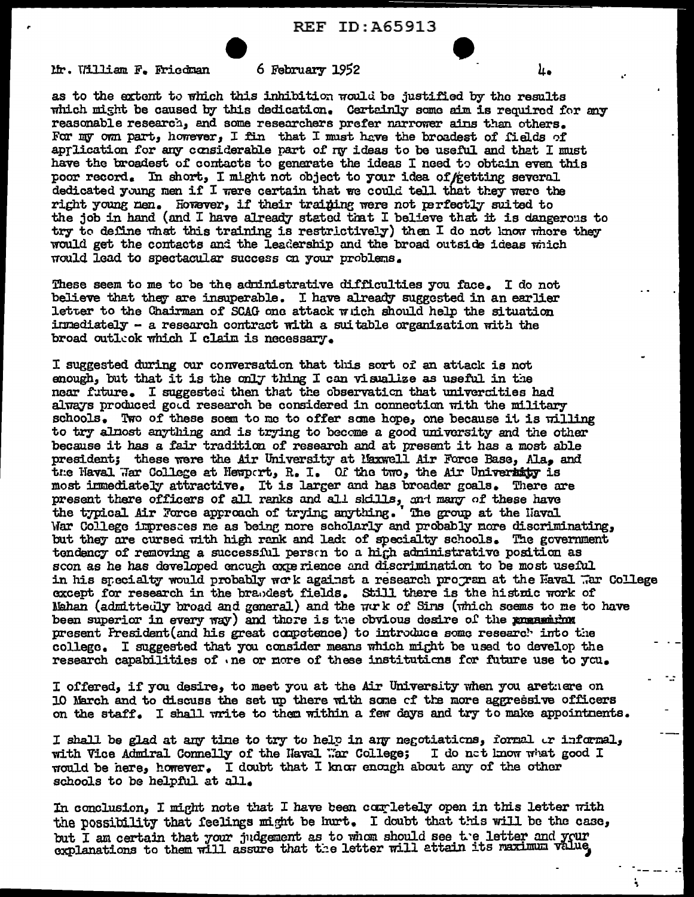Mr. William F. Friedman

## 6 February 1952

as to the extent to which this inhibition would be justified by the results which might be caused by this dedication. Certainly some aim is required for any reasonable research, and some researchers prefer narrower ains than others. For my own part, however, I fin that I must have the broadest of fields of aprlication for any considerable part of ny ideas to be useful and that I must have the broadest of contacts to generate the ideas I need to obtain even this poor record. In short, I might not object to your idea of ketting several dedicated young men if I were certain that we could tell that they were the right young men. However, if their training were not perfectly suited to the job in hand (and I have already stated that I believe that it is dangerous to try to define what this training is restrictively) then I do not know where they would get the contacts and the leadership and the broad outside ideas which would lead to spectacular success on your problems.

These seem to me to be the administrative difficulties you face. I do not believe that they are insuperable. I have already suggested in an earlier letter to the Chairman of SCAG one attack witch should help the situation inmediately - a research contract with a suitable organization with the broad outleok which I claim is necessary.

I suggested during our conversation that this sort of an attack is not enough, but that it is the only thing I can visualize as useful in the near future. I suggested then that the observation that universities had always produced good research be considered in connection with the military schools. Two of these soem to me to offer some hope, one because it is willing to try almost anything and is trying to become a good university and the other because it has a fair tradition of research and at present it has a most able president; these were the Air University at Maxwell Air Force Base, Ala, and the Haval Har College at Hemport, R. I. Of the two, the Air University is most inmediately attractive. It is larger and has broader goals. There are present there officers of all ranks and all skills, and many of these have the typical Air Force approach of trying anything. The group at the Haval War College impresses me as being nore scholarly and probably more discriminating, but they are cursed with high rank and lad: of specialty schools. The government tendency of removing a successful person to a high administrative position as scon as he has developed encuch experience and discrimination to be most useful in his specialty would probably work against a research program at the Haval War College except for research in the brandest fields. Still there is the histoic work of Nahan (admittedly broad and general) and the work of Sins (which seems to me to have been superior in every way) and there is the obvious desire of the presenting present President (and his great competence) to introduce some research into the college. I suggested that you consider means which might be used to develop the research capabilities of one or more of these institutions for future use to you.

I offered, if you desire, to meet you at the Air University when you aretuere on 10 March and to discuss the set up there with some of the more aggressive officers on the staff. I shall write to them within a few days and try to make appointments.

I shall be glad at any time to try to help in any negotiations, formal or informal, with Vice Admiral Connelly of the Haval War College; I do not know what good I would be here, however. I doubt that I know enough about any of the other schools to be helpful at all.

In conclusion, I might note that I have been completely open in this letter with the possibility that feelings might be hurt. I doubt that this will be the case, but I am certain that your judgement as to whom should see the letter and your explanations to them will assure that the letter will attain its maximum value.

u.

 $\mathbf{r}$